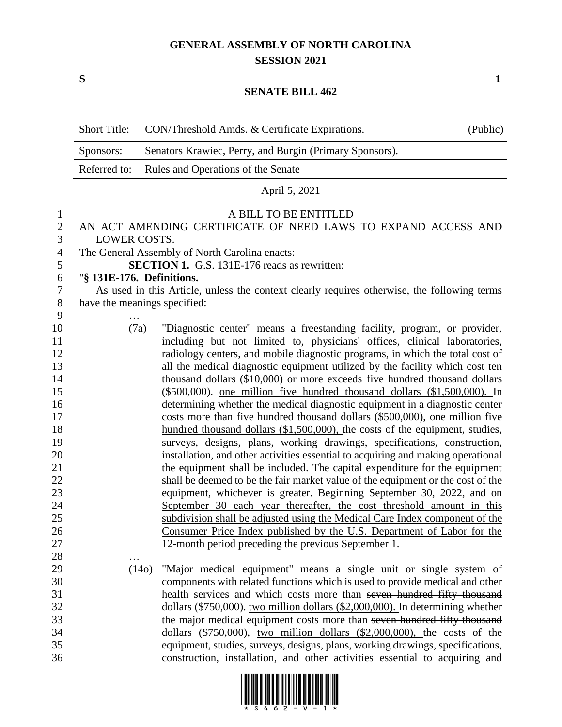# **GENERAL ASSEMBLY OF NORTH CAROLINA SESSION 2021**

**S 1**

…

#### **SENATE BILL 462**

|           | Short Title: CON/Threshold Amds. & Certificate Expirations. | (Public) |
|-----------|-------------------------------------------------------------|----------|
| Sponsors: | Senators Krawiec, Perry, and Burgin (Primary Sponsors).     |          |
|           | Referred to: Rules and Operations of the Senate             |          |
|           | April 5, 2021                                               |          |

#### A BILL TO BE ENTITLED

## AN ACT AMENDING CERTIFICATE OF NEED LAWS TO EXPAND ACCESS AND LOWER COSTS.

The General Assembly of North Carolina enacts:

**SECTION 1.** G.S. 131E-176 reads as rewritten:

### "**§ 131E-176. Definitions.**

 As used in this Article, unless the context clearly requires otherwise, the following terms have the meanings specified:

- … (7a) "Diagnostic center" means a freestanding facility, program, or provider, including but not limited to, physicians' offices, clinical laboratories, radiology centers, and mobile diagnostic programs, in which the total cost of all the medical diagnostic equipment utilized by the facility which cost ten 14 thousand dollars (\$10,000) or more exceeds five hundred thousand dollars (\$500,000). one million five hundred thousand dollars (\$1,500,000). In determining whether the medical diagnostic equipment in a diagnostic center 17 costs more than five hundred thousand dollars (\$500,000), one million five 18 hundred thousand dollars (\$1,500,000), the costs of the equipment, studies, surveys, designs, plans, working drawings, specifications, construction, installation, and other activities essential to acquiring and making operational the equipment shall be included. The capital expenditure for the equipment shall be deemed to be the fair market value of the equipment or the cost of the equipment, whichever is greater. Beginning September 30, 2022, and on September 30 each year thereafter, the cost threshold amount in this subdivision shall be adjusted using the Medical Care Index component of the Consumer Price Index published by the U.S. Department of Labor for the 12-month period preceding the previous September 1.
- (14o) "Major medical equipment" means a single unit or single system of components with related functions which is used to provide medical and other health services and which costs more than seven hundred fifty thousand dollars (\$750,000). two million dollars (\$2,000,000). In determining whether the major medical equipment costs more than seven hundred fifty thousand dollars (\$750,000), two million dollars (\$2,000,000), the costs of the equipment, studies, surveys, designs, plans, working drawings, specifications, construction, installation, and other activities essential to acquiring and